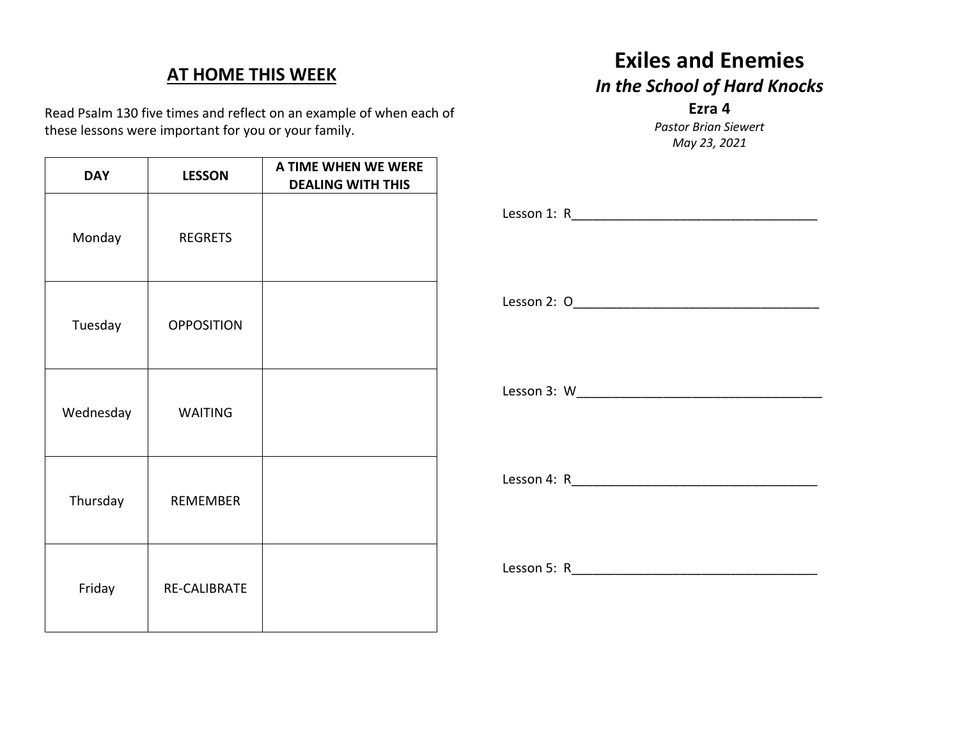## **AT HOME THIS WEEK**

Read Psalm 130 five times and reflect on an example of when each of these lessons were important for you or your family.

| <b>DAY</b> | <b>LESSON</b>     | A TIME WHEN WE WERE<br><b>DEALING WITH THIS</b> |
|------------|-------------------|-------------------------------------------------|
| Monday     | <b>REGRETS</b>    |                                                 |
| Tuesday    | <b>OPPOSITION</b> |                                                 |
| Wednesday  | <b>WAITING</b>    |                                                 |
| Thursday   | <b>REMEMBER</b>   |                                                 |
| Friday     | RE-CALIBRATE      |                                                 |

## **Exiles and Enemies** *In the School of Hard Knocks* **Ezra 4**

*Pastor Brian Siewert May 23, 2021*

Lesson 1: R\_\_\_\_\_\_\_\_\_\_\_\_\_\_\_\_\_\_\_\_\_\_\_\_\_\_\_\_\_\_\_\_\_\_

Lesson 2: O\_\_\_\_\_\_\_\_\_\_\_\_\_\_\_\_\_\_\_\_\_\_\_\_\_\_\_\_\_\_\_\_\_\_

Lesson 3: W\_\_\_\_\_\_\_\_\_\_\_\_\_\_\_\_\_\_\_\_\_\_\_\_\_\_\_\_\_\_\_\_\_\_

Lesson 4: R

Lesson 5: R\_\_\_\_\_\_\_\_\_\_\_\_\_\_\_\_\_\_\_\_\_\_\_\_\_\_\_\_\_\_\_\_\_\_